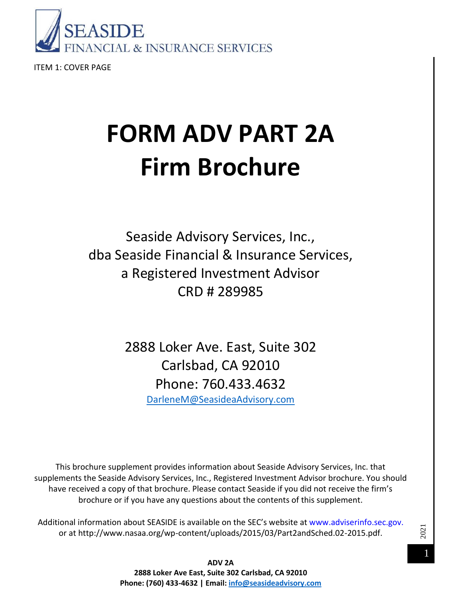

ITEM 1: COVER PAGE

# **FORM ADV PART 2A Firm Brochure**

Seaside Advisory Services, Inc., dba Seaside Financial & Insurance Services, a Registered Investment Advisor CRD # 289985

> 2888 Loker Ave. East, Suite 302 Carlsbad, CA 92010 Phone: 760.433.4632 [DarleneM@SeasideaAdvisory.com](mailto:DarleneM@SeasideaAdvisory.com)

This brochure supplement provides information about Seaside Advisory Services, Inc. that supplements the Seaside Advisory Services, Inc., Registered Investment Advisor brochure. You should have received a copy of that brochure. Please contact Seaside if you did not receive the firm's brochure or if you have any questions about the contents of this supplement.

Additional information about SEASIDE is available on the SEC's website at www.adviserinfo.sec.gov. or at http://www.nasaa.org/wp-content/uploads/2015/03/Part2andSched.02-2015.pdf.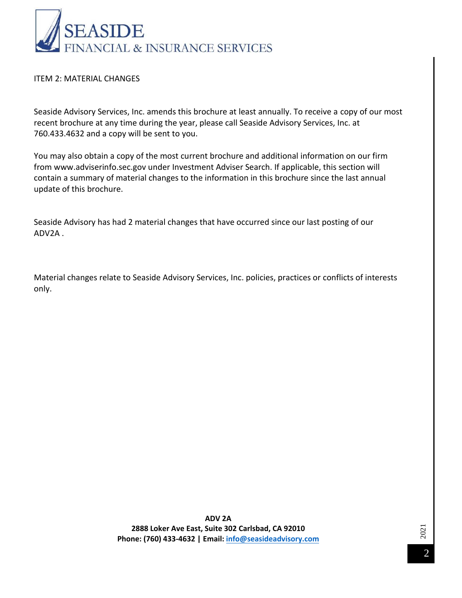

#### ITEM 2: MATERIAL CHANGES

Seaside Advisory Services, Inc. amends this brochure at least annually. To receive a copy of our most recent brochure at any time during the year, please call Seaside Advisory Services, Inc. at 760.433.4632 and a copy will be sent to you.

You may also obtain a copy of the most current brochure and additional information on our firm from www.adviserinfo.sec.gov under Investment Adviser Search. If applicable, this section will contain a summary of material changes to the information in this brochure since the last annual update of this brochure.

Seaside Advisory has had 2 material changes that have occurred since our last posting of our ADV2A .

Material changes relate to Seaside Advisory Services, Inc. policies, practices or conflicts of interests only.

> **ADV 2A 2888 Loker Ave East, Suite 302 Carlsbad, CA 92010 Phone: (760) 433-4632 | Email: info@seasideadvisory.com**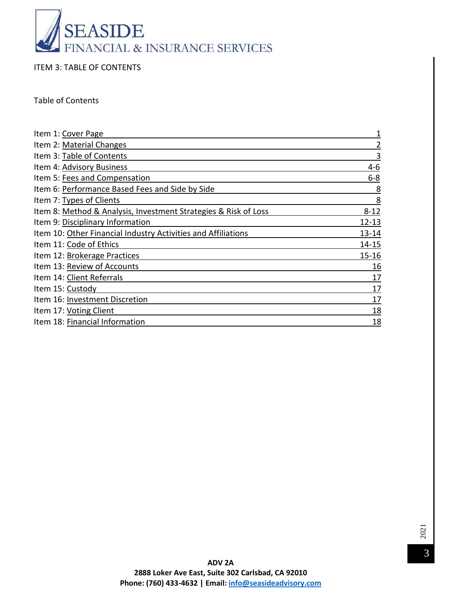

ITEM 3: TABLE OF CONTENTS

Table of Contents

| Item 1: Cover Page                                              |                |
|-----------------------------------------------------------------|----------------|
| Item 2: Material Changes                                        | $\overline{2}$ |
| Item 3: Table of Contents                                       | 3              |
| Item 4: Advisory Business                                       | $4 - 6$        |
| Item 5: Fees and Compensation                                   | $6 - 8$        |
| Item 6: Performance Based Fees and Side by Side                 | 8              |
| Item 7: Types of Clients                                        | 8              |
| Item 8: Method & Analysis, Investment Strategies & Risk of Loss | $8 - 12$       |
| Item 9: Disciplinary Information                                | $12 - 13$      |
| Item 10: Other Financial Industry Activities and Affiliations   | 13-14          |
| Item 11: Code of Ethics                                         | 14-15          |
| Item 12: Brokerage Practices                                    | 15-16          |
| Item 13: Review of Accounts                                     | 16             |
| Item 14: Client Referrals                                       | 17             |
| Item 15: Custody                                                | 17             |
| Item 16: Investment Discretion                                  | 17             |
| Item 17: Voting Client                                          | 18             |
| Item 18: Financial Information                                  | 18             |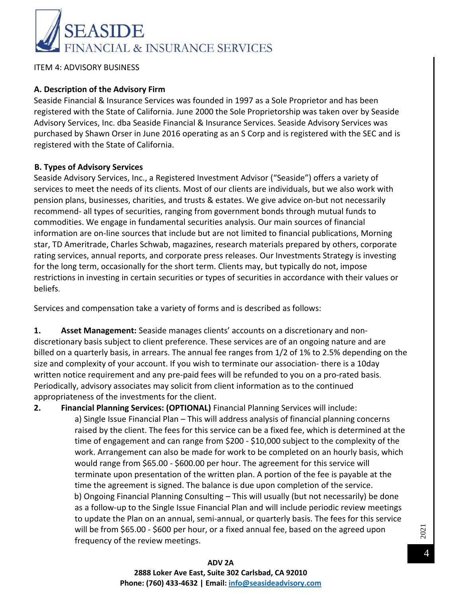

ITEM 4: ADVISORY BUSINESS

#### **A. Description of the Advisory Firm**

Seaside Financial & Insurance Services was founded in 1997 as a Sole Proprietor and has been registered with the State of California. June 2000 the Sole Proprietorship was taken over by Seaside Advisory Services, Inc. dba Seaside Financial & Insurance Services. Seaside Advisory Services was purchased by Shawn Orser in June 2016 operating as an S Corp and is registered with the SEC and is registered with the State of California.

#### **B. Types of Advisory Services**

Seaside Advisory Services, Inc., a Registered Investment Advisor ("Seaside") offers a variety of services to meet the needs of its clients. Most of our clients are individuals, but we also work with pension plans, businesses, charities, and trusts & estates. We give advice on-but not necessarily recommend- all types of securities, ranging from government bonds through mutual funds to commodities. We engage in fundamental securities analysis. Our main sources of financial information are on-line sources that include but are not limited to financial publications, Morning star, TD Ameritrade, Charles Schwab, magazines, research materials prepared by others, corporate rating services, annual reports, and corporate press releases. Our Investments Strategy is investing for the long term, occasionally for the short term. Clients may, but typically do not, impose restrictions in investing in certain securities or types of securities in accordance with their values or beliefs.

Services and compensation take a variety of forms and is described as follows:

**1. Asset Management:** Seaside manages clients' accounts on a discretionary and nondiscretionary basis subject to client preference. These services are of an ongoing nature and are billed on a quarterly basis, in arrears. The annual fee ranges from 1/2 of 1% to 2.5% depending on the size and complexity of your account. If you wish to terminate our association- there is a 10day written notice requirement and any pre-paid fees will be refunded to you on a pro-rated basis. Periodically, advisory associates may solicit from client information as to the continued appropriateness of the investments for the client.

**2. Financial Planning Services: (OPTIONAL)** Financial Planning Services will include: a) Single Issue Financial Plan – This will address analysis of financial planning concerns raised by the client. The fees for this service can be a fixed fee, which is determined at the time of engagement and can range from \$200 - \$10,000 subject to the complexity of the work. Arrangement can also be made for work to be completed on an hourly basis, which would range from \$65.00 - \$600.00 per hour. The agreement for this service will terminate upon presentation of the written plan. A portion of the fee is payable at the time the agreement is signed. The balance is due upon completion of the service. b) Ongoing Financial Planning Consulting – This will usually (but not necessarily) be done as a follow-up to the Single Issue Financial Plan and will include periodic review meetings to update the Plan on an annual, semi-annual, or quarterly basis. The fees for this service will be from \$65.00 - \$600 per hour, or a fixed annual fee, based on the agreed upon frequency of the review meetings.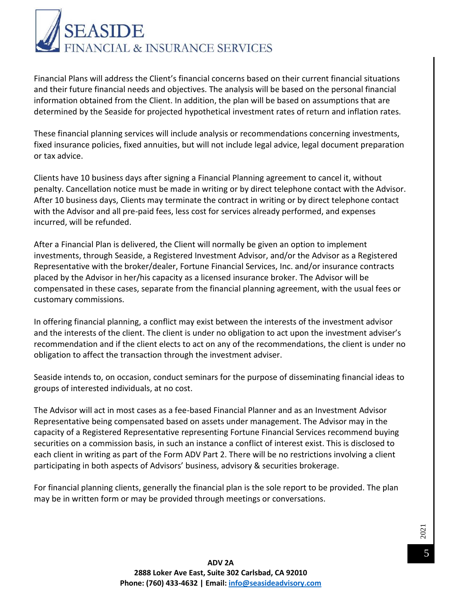

Financial Plans will address the Client's financial concerns based on their current financial situations and their future financial needs and objectives. The analysis will be based on the personal financial information obtained from the Client. In addition, the plan will be based on assumptions that are determined by the Seaside for projected hypothetical investment rates of return and inflation rates.

These financial planning services will include analysis or recommendations concerning investments, fixed insurance policies, fixed annuities, but will not include legal advice, legal document preparation or tax advice.

Clients have 10 business days after signing a Financial Planning agreement to cancel it, without penalty. Cancellation notice must be made in writing or by direct telephone contact with the Advisor. After 10 business days, Clients may terminate the contract in writing or by direct telephone contact with the Advisor and all pre-paid fees, less cost for services already performed, and expenses incurred, will be refunded.

After a Financial Plan is delivered, the Client will normally be given an option to implement investments, through Seaside, a Registered Investment Advisor, and/or the Advisor as a Registered Representative with the broker/dealer, Fortune Financial Services, Inc. and/or insurance contracts placed by the Advisor in her/his capacity as a licensed insurance broker. The Advisor will be compensated in these cases, separate from the financial planning agreement, with the usual fees or customary commissions.

In offering financial planning, a conflict may exist between the interests of the investment advisor and the interests of the client. The client is under no obligation to act upon the investment adviser's recommendation and if the client elects to act on any of the recommendations, the client is under no obligation to affect the transaction through the investment adviser.

Seaside intends to, on occasion, conduct seminars for the purpose of disseminating financial ideas to groups of interested individuals, at no cost.

The Advisor will act in most cases as a fee-based Financial Planner and as an Investment Advisor Representative being compensated based on assets under management. The Advisor may in the capacity of a Registered Representative representing Fortune Financial Services recommend buying securities on a commission basis, in such an instance a conflict of interest exist. This is disclosed to each client in writing as part of the Form ADV Part 2. There will be no restrictions involving a client participating in both aspects of Advisors' business, advisory & securities brokerage.

For financial planning clients, generally the financial plan is the sole report to be provided. The plan may be in written form or may be provided through meetings or conversations.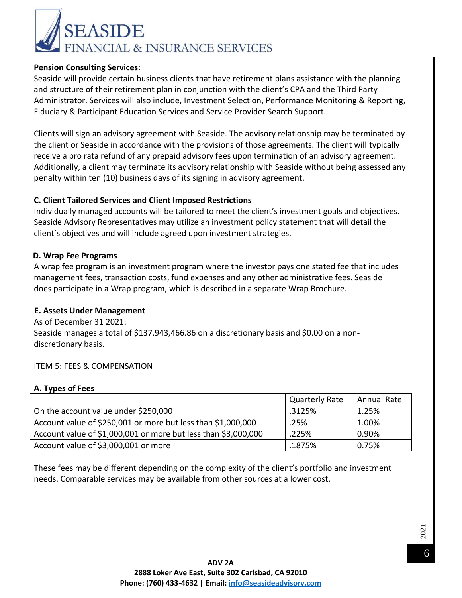

#### **Pension Consulting Services**:

Seaside will provide certain business clients that have retirement plans assistance with the planning and structure of their retirement plan in conjunction with the client's CPA and the Third Party Administrator. Services will also include, Investment Selection, Performance Monitoring & Reporting, Fiduciary & Participant Education Services and Service Provider Search Support.

Clients will sign an advisory agreement with Seaside. The advisory relationship may be terminated by the client or Seaside in accordance with the provisions of those agreements. The client will typically receive a pro rata refund of any prepaid advisory fees upon termination of an advisory agreement. Additionally, a client may terminate its advisory relationship with Seaside without being assessed any penalty within ten (10) business days of its signing in advisory agreement.

#### **C. Client Tailored Services and Client Imposed Restrictions**

Individually managed accounts will be tailored to meet the client's investment goals and objectives. Seaside Advisory Representatives may utilize an investment policy statement that will detail the client's objectives and will include agreed upon investment strategies.

#### **D. Wrap Fee Programs**

A wrap fee program is an investment program where the investor pays one stated fee that includes management fees, transaction costs, fund expenses and any other administrative fees. Seaside does participate in a Wrap program, which is described in a separate Wrap Brochure.

#### **E. Assets Under Management**

As of December 31 2021: Seaside manages a total of \$137,943,466.86 on a discretionary basis and \$0.00 on a nondiscretionary basis.

#### ITEM 5: FEES & COMPENSATION

#### **A. Types of Fees**

|                                                                | <b>Quarterly Rate</b> | Annual Rate |
|----------------------------------------------------------------|-----------------------|-------------|
| On the account value under \$250,000                           | .3125%                | 1.25%       |
| Account value of \$250,001 or more but less than \$1,000,000   | .25%                  | 1.00%       |
| Account value of \$1,000,001 or more but less than \$3,000,000 | .225%                 | 0.90%       |
| Account value of \$3,000,001 or more                           | .1875%                | 0.75%       |

These fees may be different depending on the complexity of the client's portfolio and investment needs. Comparable services may be available from other sources at a lower cost.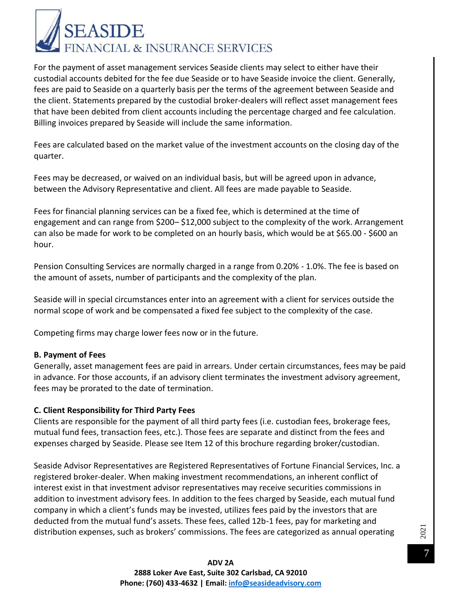

For the payment of asset management services Seaside clients may select to either have their custodial accounts debited for the fee due Seaside or to have Seaside invoice the client. Generally, fees are paid to Seaside on a quarterly basis per the terms of the agreement between Seaside and the client. Statements prepared by the custodial broker-dealers will reflect asset management fees that have been debited from client accounts including the percentage charged and fee calculation. Billing invoices prepared by Seaside will include the same information.

Fees are calculated based on the market value of the investment accounts on the closing day of the quarter.

Fees may be decreased, or waived on an individual basis, but will be agreed upon in advance, between the Advisory Representative and client. All fees are made payable to Seaside.

Fees for financial planning services can be a fixed fee, which is determined at the time of engagement and can range from \$200– \$12,000 subject to the complexity of the work. Arrangement can also be made for work to be completed on an hourly basis, which would be at \$65.00 - \$600 an hour.

Pension Consulting Services are normally charged in a range from 0.20% - 1.0%. The fee is based on the amount of assets, number of participants and the complexity of the plan.

Seaside will in special circumstances enter into an agreement with a client for services outside the normal scope of work and be compensated a fixed fee subject to the complexity of the case.

Competing firms may charge lower fees now or in the future.

#### **B. Payment of Fees**

Generally, asset management fees are paid in arrears. Under certain circumstances, fees may be paid in advance. For those accounts, if an advisory client terminates the investment advisory agreement, fees may be prorated to the date of termination.

#### **C. Client Responsibility for Third Party Fees**

Clients are responsible for the payment of all third party fees (i.e. custodian fees, brokerage fees, mutual fund fees, transaction fees, etc.). Those fees are separate and distinct from the fees and expenses charged by Seaside. Please see Item 12 of this brochure regarding broker/custodian.

Seaside Advisor Representatives are Registered Representatives of Fortune Financial Services, Inc. a registered broker-dealer. When making investment recommendations, an inherent conflict of interest exist in that investment advisor representatives may receive securities commissions in addition to investment advisory fees. In addition to the fees charged by Seaside, each mutual fund company in which a client's funds may be invested, utilizes fees paid by the investors that are deducted from the mutual fund's assets. These fees, called 12b-1 fees, pay for marketing and distribution expenses, such as brokers' commissions. The fees are categorized as annual operating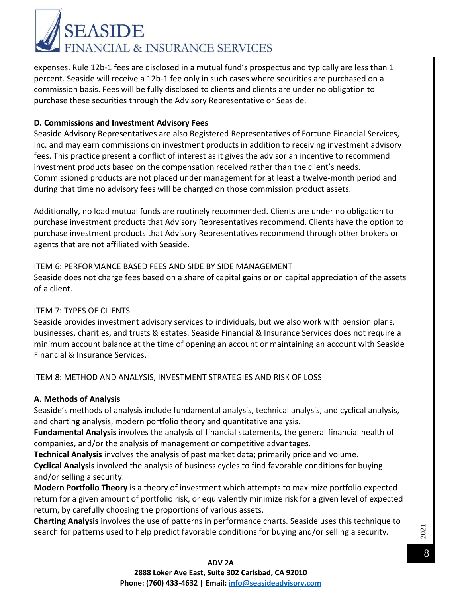

expenses. Rule 12b-1 fees are disclosed in a mutual fund's prospectus and typically are less than 1 percent. Seaside will receive a 12b-1 fee only in such cases where securities are purchased on a commission basis. Fees will be fully disclosed to clients and clients are under no obligation to purchase these securities through the Advisory Representative or Seaside.

#### **D. Commissions and Investment Advisory Fees**

Seaside Advisory Representatives are also Registered Representatives of Fortune Financial Services, Inc. and may earn commissions on investment products in addition to receiving investment advisory fees. This practice present a conflict of interest as it gives the advisor an incentive to recommend investment products based on the compensation received rather than the client's needs. Commissioned products are not placed under management for at least a twelve-month period and during that time no advisory fees will be charged on those commission product assets.

Additionally, no load mutual funds are routinely recommended. Clients are under no obligation to purchase investment products that Advisory Representatives recommend. Clients have the option to purchase investment products that Advisory Representatives recommend through other brokers or agents that are not affiliated with Seaside.

#### ITEM 6: PERFORMANCE BASED FEES AND SIDE BY SIDE MANAGEMENT

Seaside does not charge fees based on a share of capital gains or on capital appreciation of the assets of a client.

#### ITEM 7: TYPES OF CLIENTS

Seaside provides investment advisory services to individuals, but we also work with pension plans, businesses, charities, and trusts & estates. Seaside Financial & Insurance Services does not require a minimum account balance at the time of opening an account or maintaining an account with Seaside Financial & Insurance Services.

ITEM 8: METHOD AND ANALYSIS, INVESTMENT STRATEGIES AND RISK OF LOSS

#### **A. Methods of Analysis**

Seaside's methods of analysis include fundamental analysis, technical analysis, and cyclical analysis, and charting analysis, modern portfolio theory and quantitative analysis.

**Fundamental Analysis** involves the analysis of financial statements, the general financial health of companies, and/or the analysis of management or competitive advantages.

**Technical Analysis** involves the analysis of past market data; primarily price and volume. **Cyclical Analysis** involved the analysis of business cycles to find favorable conditions for buying and/or selling a security.

**Modern Portfolio Theory** is a theory of investment which attempts to maximize portfolio expected return for a given amount of portfolio risk, or equivalently minimize risk for a given level of expected return, by carefully choosing the proportions of various assets.

**Charting Analysis** involves the use of patterns in performance charts. Seaside uses this technique to search for patterns used to help predict favorable conditions for buying and/or selling a security.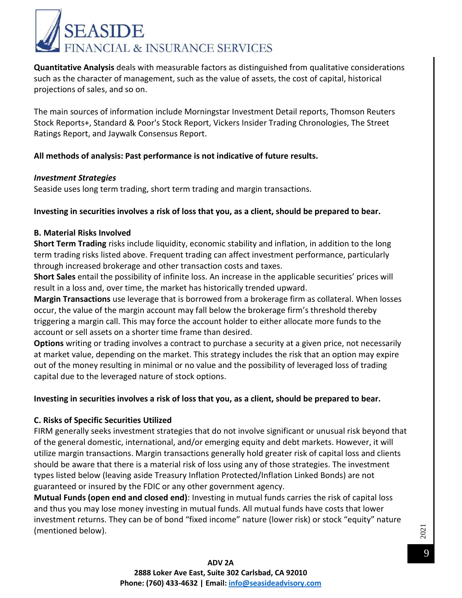

**Quantitative Analysis** deals with measurable factors as distinguished from qualitative considerations such as the character of management, such as the value of assets, the cost of capital, historical projections of sales, and so on.

The main sources of information include Morningstar Investment Detail reports, Thomson Reuters Stock Reports+, Standard & Poor's Stock Report, Vickers Insider Trading Chronologies, The Street Ratings Report, and Jaywalk Consensus Report.

#### **All methods of analysis: Past performance is not indicative of future results.**

#### *Investment Strategies*

Seaside uses long term trading, short term trading and margin transactions.

#### **Investing in securities involves a risk of loss that you, as a client, should be prepared to bear.**

#### **B. Material Risks Involved**

**Short Term Trading** risks include liquidity, economic stability and inflation, in addition to the long term trading risks listed above. Frequent trading can affect investment performance, particularly through increased brokerage and other transaction costs and taxes.

**Short Sales** entail the possibility of infinite loss. An increase in the applicable securities' prices will result in a loss and, over time, the market has historically trended upward.

**Margin Transactions** use leverage that is borrowed from a brokerage firm as collateral. When losses occur, the value of the margin account may fall below the brokerage firm's threshold thereby triggering a margin call. This may force the account holder to either allocate more funds to the account or sell assets on a shorter time frame than desired.

**Options** writing or trading involves a contract to purchase a security at a given price, not necessarily at market value, depending on the market. This strategy includes the risk that an option may expire out of the money resulting in minimal or no value and the possibility of leveraged loss of trading capital due to the leveraged nature of stock options.

#### **Investing in securities involves a risk of loss that you, as a client, should be prepared to bear.**

#### **C. Risks of Specific Securities Utilized**

FIRM generally seeks investment strategies that do not involve significant or unusual risk beyond that of the general domestic, international, and/or emerging equity and debt markets. However, it will utilize margin transactions. Margin transactions generally hold greater risk of capital loss and clients should be aware that there is a material risk of loss using any of those strategies. The investment types listed below (leaving aside Treasury Inflation Protected/Inflation Linked Bonds) are not guaranteed or insured by the FDIC or any other government agency.

**Mutual Funds (open end and closed end)**: Investing in mutual funds carries the risk of capital loss and thus you may lose money investing in mutual funds. All mutual funds have costs that lower investment returns. They can be of bond "fixed income" nature (lower risk) or stock "equity" nature (mentioned below).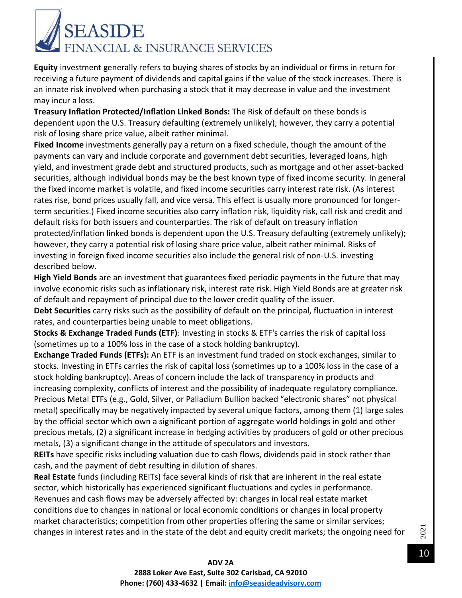

**Equity** investment generally refers to buying shares of stocks by an individual or firms in return for receiving a future payment of dividends and capital gains if the value of the stock increases. There is an innate risk involved when purchasing a stock that it may decrease in value and the investment may incur a loss.

**Treasury Inflation Protected/Inflation Linked Bonds:** The Risk of default on these bonds is dependent upon the U.S. Treasury defaulting (extremely unlikely); however, they carry a potential risk of losing share price value, albeit rather minimal.

**Fixed Income** investments generally pay a return on a fixed schedule, though the amount of the payments can vary and include corporate and government debt securities, leveraged loans, high yield, and investment grade debt and structured products, such as mortgage and other asset-backed securities, although individual bonds may be the best known type of fixed income security. In general the fixed income market is volatile, and fixed income securities carry interest rate risk. (As interest rates rise, bond prices usually fall, and vice versa. This effect is usually more pronounced for longerterm securities.) Fixed income securities also carry inflation risk, liquidity risk, call risk and credit and default risks for both issuers and counterparties. The risk of default on treasury inflation protected/inflation linked bonds is dependent upon the U.S. Treasury defaulting (extremely unlikely); however, they carry a potential risk of losing share price value, albeit rather minimal. Risks of investing in foreign fixed income securities also include the general risk of non-U.S. investing described below.

**High Yield Bonds** are an investment that guarantees fixed periodic payments in the future that may involve economic risks such as inflationary risk, interest rate risk. High Yield Bonds are at greater risk of default and repayment of principal due to the lower credit quality of the issuer.

**Debt Securities** carry risks such as the possibility of default on the principal, fluctuation in interest rates, and counterparties being unable to meet obligations.

**Stocks & Exchange Traded Funds (ETF)**: Investing in stocks & ETF's carries the risk of capital loss (sometimes up to a 100% loss in the case of a stock holding bankruptcy).

**Exchange Traded Funds (ETFs):** An ETF is an investment fund traded on stock exchanges, similar to stocks. Investing in ETFs carries the risk of capital loss (sometimes up to a 100% loss in the case of a stock holding bankruptcy). Areas of concern include the lack of transparency in products and increasing complexity, conflicts of interest and the possibility of inadequate regulatory compliance. Precious Metal ETFs (e.g., Gold, Silver, or Palladium Bullion backed "electronic shares" not physical metal) specifically may be negatively impacted by several unique factors, among them (1) large sales by the official sector which own a significant portion of aggregate world holdings in gold and other precious metals, (2) a significant increase in hedging activities by producers of gold or other precious metals, (3) a significant change in the attitude of speculators and investors.

**REITs** have specific risks including valuation due to cash flows, dividends paid in stock rather than cash, and the payment of debt resulting in dilution of shares.

**Real Estate** funds (including REITs) face several kinds of risk that are inherent in the real estate sector, which historically has experienced significant fluctuations and cycles in performance. Revenues and cash flows may be adversely affected by: changes in local real estate market conditions due to changes in national or local economic conditions or changes in local property market characteristics; competition from other properties offering the same or similar services; changes in interest rates and in the state of the debt and equity credit markets; the ongoing need for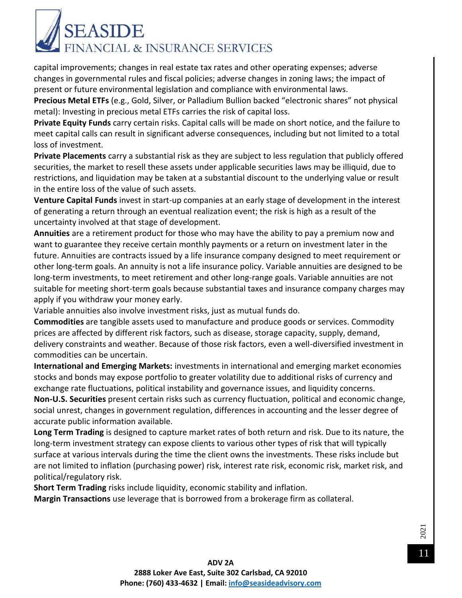

capital improvements; changes in real estate tax rates and other operating expenses; adverse changes in governmental rules and fiscal policies; adverse changes in zoning laws; the impact of present or future environmental legislation and compliance with environmental laws.

**Precious Metal ETFs** (e.g., Gold, Silver, or Palladium Bullion backed "electronic shares" not physical metal): Investing in precious metal ETFs carries the risk of capital loss.

**Private Equity Funds** carry certain risks. Capital calls will be made on short notice, and the failure to meet capital calls can result in significant adverse consequences, including but not limited to a total loss of investment.

**Private Placements** carry a substantial risk as they are subject to less regulation that publicly offered securities, the market to resell these assets under applicable securities laws may be illiquid, due to restrictions, and liquidation may be taken at a substantial discount to the underlying value or result in the entire loss of the value of such assets.

**Venture Capital Funds** invest in start-up companies at an early stage of development in the interest of generating a return through an eventual realization event; the risk is high as a result of the uncertainty involved at that stage of development.

**Annuities** are a retirement product for those who may have the ability to pay a premium now and want to guarantee they receive certain monthly payments or a return on investment later in the future. Annuities are contracts issued by a life insurance company designed to meet requirement or other long-term goals. An annuity is not a life insurance policy. Variable annuities are designed to be long-term investments, to meet retirement and other long-range goals. Variable annuities are not suitable for meeting short-term goals because substantial taxes and insurance company charges may apply if you withdraw your money early.

Variable annuities also involve investment risks, just as mutual funds do.

**Commodities** are tangible assets used to manufacture and produce goods or services. Commodity prices are affected by different risk factors, such as disease, storage capacity, supply, demand, delivery constraints and weather. Because of those risk factors, even a well-diversified investment in commodities can be uncertain.

**International and Emerging Markets:** investments in international and emerging market economies stocks and bonds may expose portfolio to greater volatility due to additional risks of currency and exchange rate fluctuations, political instability and governance issues, and liquidity concerns.

**Non-U.S. Securities** present certain risks such as currency fluctuation, political and economic change, social unrest, changes in government regulation, differences in accounting and the lesser degree of accurate public information available.

**Long Term Trading** is designed to capture market rates of both return and risk. Due to its nature, the long-term investment strategy can expose clients to various other types of risk that will typically surface at various intervals during the time the client owns the investments. These risks include but are not limited to inflation (purchasing power) risk, interest rate risk, economic risk, market risk, and political/regulatory risk.

**Short Term Trading** risks include liquidity, economic stability and inflation.

**Margin Transactions** use leverage that is borrowed from a brokerage firm as collateral.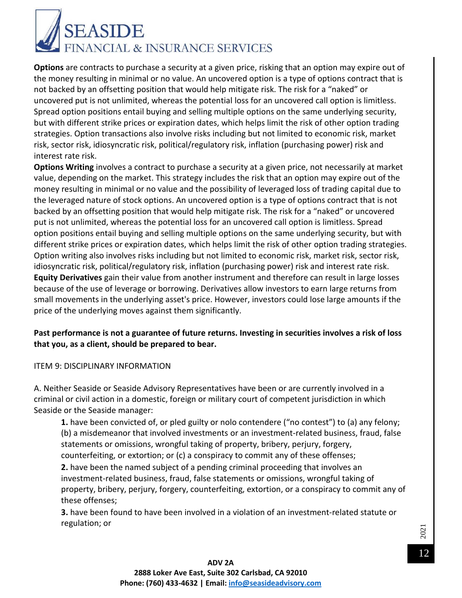

**Options** are contracts to purchase a security at a given price, risking that an option may expire out of the money resulting in minimal or no value. An uncovered option is a type of options contract that is not backed by an offsetting position that would help mitigate risk. The risk for a "naked" or uncovered put is not unlimited, whereas the potential loss for an uncovered call option is limitless. Spread option positions entail buying and selling multiple options on the same underlying security, but with different strike prices or expiration dates, which helps limit the risk of other option trading strategies. Option transactions also involve risks including but not limited to economic risk, market risk, sector risk, idiosyncratic risk, political/regulatory risk, inflation (purchasing power) risk and interest rate risk.

**Options Writing** involves a contract to purchase a security at a given price, not necessarily at market value, depending on the market. This strategy includes the risk that an option may expire out of the money resulting in minimal or no value and the possibility of leveraged loss of trading capital due to the leveraged nature of stock options. An uncovered option is a type of options contract that is not backed by an offsetting position that would help mitigate risk. The risk for a "naked" or uncovered put is not unlimited, whereas the potential loss for an uncovered call option is limitless. Spread option positions entail buying and selling multiple options on the same underlying security, but with different strike prices or expiration dates, which helps limit the risk of other option trading strategies. Option writing also involves risks including but not limited to economic risk, market risk, sector risk, idiosyncratic risk, political/regulatory risk, inflation (purchasing power) risk and interest rate risk. **Equity Derivatives** gain their value from another instrument and therefore can result in large losses because of the use of leverage or borrowing. Derivatives allow investors to earn large returns from small movements in the underlying asset's price. However, investors could lose large amounts if the price of the underlying moves against them significantly.

#### **Past performance is not a guarantee of future returns. Investing in securities involves a risk of loss that you, as a client, should be prepared to bear.**

#### ITEM 9: DISCIPLINARY INFORMATION

A. Neither Seaside or Seaside Advisory Representatives have been or are currently involved in a criminal or civil action in a domestic, foreign or military court of competent jurisdiction in which Seaside or the Seaside manager:

**1.** have been convicted of, or pled guilty or nolo contendere ("no contest") to (a) any felony; (b) a misdemeanor that involved investments or an investment-related business, fraud, false statements or omissions, wrongful taking of property, bribery, perjury, forgery, counterfeiting, or extortion; or (c) a conspiracy to commit any of these offenses;

**2.** have been the named subject of a pending criminal proceeding that involves an investment-related business, fraud, false statements or omissions, wrongful taking of property, bribery, perjury, forgery, counterfeiting, extortion, or a conspiracy to commit any of these offenses;

**3.** have been found to have been involved in a violation of an investment-related statute or regulation; or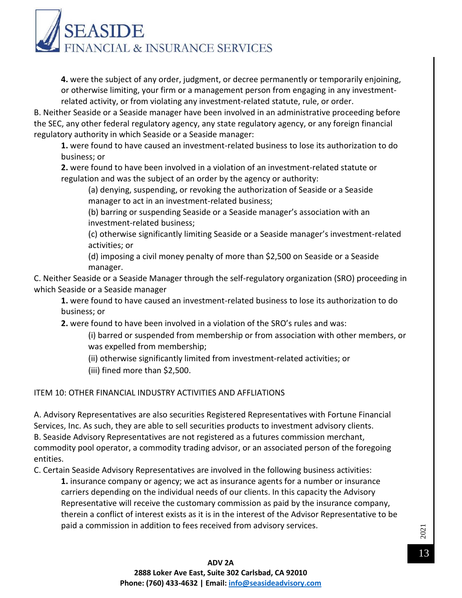# **EASIDE** FINANCIAL & INSURANCE SERVICES

**4.** were the subject of any order, judgment, or decree permanently or temporarily enjoining, or otherwise limiting, your firm or a management person from engaging in any investmentrelated activity, or from violating any investment-related statute, rule, or order.

B. Neither Seaside or a Seaside manager have been involved in an administrative proceeding before the SEC, any other federal regulatory agency, any state regulatory agency, or any foreign financial regulatory authority in which Seaside or a Seaside manager:

**1.** were found to have caused an investment-related business to lose its authorization to do business; or

**2.** were found to have been involved in a violation of an investment-related statute or regulation and was the subject of an order by the agency or authority:

(a) denying, suspending, or revoking the authorization of Seaside or a Seaside manager to act in an investment-related business;

(b) barring or suspending Seaside or a Seaside manager's association with an investment-related business;

(c) otherwise significantly limiting Seaside or a Seaside manager's investment-related activities; or

(d) imposing a civil money penalty of more than \$2,500 on Seaside or a Seaside manager.

C. Neither Seaside or a Seaside Manager through the self-regulatory organization (SRO) proceeding in which Seaside or a Seaside manager

**1.** were found to have caused an investment-related business to lose its authorization to do business; or

**2.** were found to have been involved in a violation of the SRO's rules and was:

(i) barred or suspended from membership or from association with other members, or was expelled from membership;

(ii) otherwise significantly limited from investment-related activities; or

(iii) fined more than \$2,500.

ITEM 10: OTHER FINANCIAL INDUSTRY ACTIVITIES AND AFFLIATIONS

A. Advisory Representatives are also securities Registered Representatives with Fortune Financial Services, Inc. As such, they are able to sell securities products to investment advisory clients. B. Seaside Advisory Representatives are not registered as a futures commission merchant, commodity pool operator, a commodity trading advisor, or an associated person of the foregoing entities.

C. Certain Seaside Advisory Representatives are involved in the following business activities:

**1.** insurance company or agency; we act as insurance agents for a number or insurance carriers depending on the individual needs of our clients. In this capacity the Advisory Representative will receive the customary commission as paid by the insurance company, therein a conflict of interest exists as it is in the interest of the Advisor Representative to be paid a commission in addition to fees received from advisory services.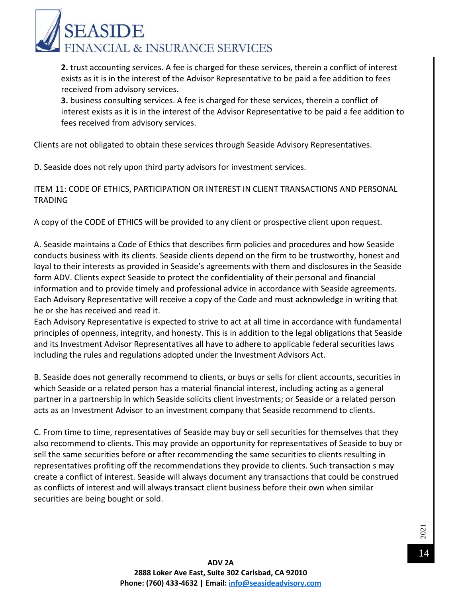

**2.** trust accounting services. A fee is charged for these services, therein a conflict of interest exists as it is in the interest of the Advisor Representative to be paid a fee addition to fees received from advisory services.

**3.** business consulting services. A fee is charged for these services, therein a conflict of interest exists as it is in the interest of the Advisor Representative to be paid a fee addition to fees received from advisory services.

Clients are not obligated to obtain these services through Seaside Advisory Representatives.

D. Seaside does not rely upon third party advisors for investment services.

ITEM 11: CODE OF ETHICS, PARTICIPATION OR INTEREST IN CLIENT TRANSACTIONS AND PERSONAL TRADING

A copy of the CODE of ETHICS will be provided to any client or prospective client upon request.

A. Seaside maintains a Code of Ethics that describes firm policies and procedures and how Seaside conducts business with its clients. Seaside clients depend on the firm to be trustworthy, honest and loyal to their interests as provided in Seaside's agreements with them and disclosures in the Seaside form ADV. Clients expect Seaside to protect the confidentiality of their personal and financial information and to provide timely and professional advice in accordance with Seaside agreements. Each Advisory Representative will receive a copy of the Code and must acknowledge in writing that he or she has received and read it.

Each Advisory Representative is expected to strive to act at all time in accordance with fundamental principles of openness, integrity, and honesty. This is in addition to the legal obligations that Seaside and its Investment Advisor Representatives all have to adhere to applicable federal securities laws including the rules and regulations adopted under the Investment Advisors Act.

B. Seaside does not generally recommend to clients, or buys or sells for client accounts, securities in which Seaside or a related person has a material financial interest, including acting as a general partner in a partnership in which Seaside solicits client investments; or Seaside or a related person acts as an Investment Advisor to an investment company that Seaside recommend to clients.

C. From time to time, representatives of Seaside may buy or sell securities for themselves that they also recommend to clients. This may provide an opportunity for representatives of Seaside to buy or sell the same securities before or after recommending the same securities to clients resulting in representatives profiting off the recommendations they provide to clients. Such transaction s may create a conflict of interest. Seaside will always document any transactions that could be construed as conflicts of interest and will always transact client business before their own when similar securities are being bought or sold.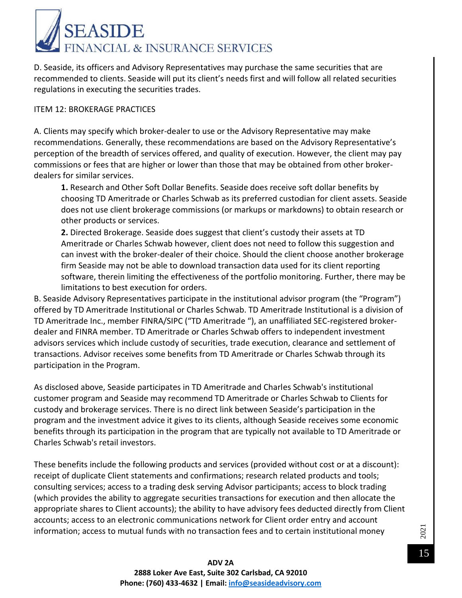

D. Seaside, its officers and Advisory Representatives may purchase the same securities that are recommended to clients. Seaside will put its client's needs first and will follow all related securities regulations in executing the securities trades.

#### ITEM 12: BROKERAGE PRACTICES

A. Clients may specify which broker-dealer to use or the Advisory Representative may make recommendations. Generally, these recommendations are based on the Advisory Representative's perception of the breadth of services offered, and quality of execution. However, the client may pay commissions or fees that are higher or lower than those that may be obtained from other brokerdealers for similar services.

**1.** Research and Other Soft Dollar Benefits. Seaside does receive soft dollar benefits by choosing TD Ameritrade or Charles Schwab as its preferred custodian for client assets. Seaside does not use client brokerage commissions (or markups or markdowns) to obtain research or other products or services.

**2.** Directed Brokerage. Seaside does suggest that client's custody their assets at TD Ameritrade or Charles Schwab however, client does not need to follow this suggestion and can invest with the broker-dealer of their choice. Should the client choose another brokerage firm Seaside may not be able to download transaction data used for its client reporting software, therein limiting the effectiveness of the portfolio monitoring. Further, there may be limitations to best execution for orders.

B. Seaside Advisory Representatives participate in the institutional advisor program (the "Program") offered by TD Ameritrade Institutional or Charles Schwab. TD Ameritrade Institutional is a division of TD Ameritrade Inc., member FINRA/SIPC ("TD Ameritrade "), an unaffiliated SEC-registered brokerdealer and FINRA member. TD Ameritrade or Charles Schwab offers to independent investment advisors services which include custody of securities, trade execution, clearance and settlement of transactions. Advisor receives some benefits from TD Ameritrade or Charles Schwab through its participation in the Program.

As disclosed above, Seaside participates in TD Ameritrade and Charles Schwab's institutional customer program and Seaside may recommend TD Ameritrade or Charles Schwab to Clients for custody and brokerage services. There is no direct link between Seaside's participation in the program and the investment advice it gives to its clients, although Seaside receives some economic benefits through its participation in the program that are typically not available to TD Ameritrade or Charles Schwab's retail investors.

These benefits include the following products and services (provided without cost or at a discount): receipt of duplicate Client statements and confirmations; research related products and tools; consulting services; access to a trading desk serving Advisor participants; access to block trading (which provides the ability to aggregate securities transactions for execution and then allocate the appropriate shares to Client accounts); the ability to have advisory fees deducted directly from Client accounts; access to an electronic communications network for Client order entry and account information; access to mutual funds with no transaction fees and to certain institutional money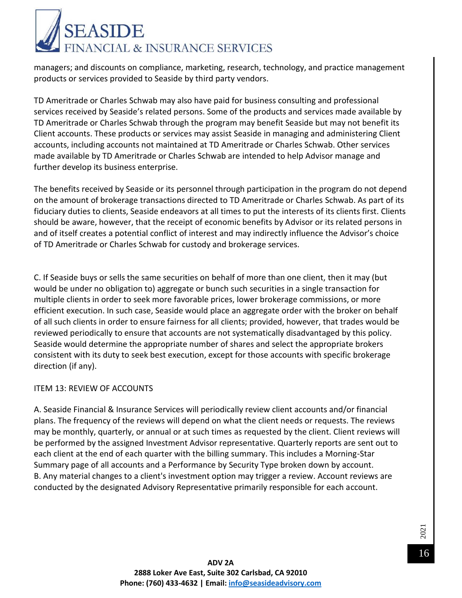

managers; and discounts on compliance, marketing, research, technology, and practice management products or services provided to Seaside by third party vendors.

TD Ameritrade or Charles Schwab may also have paid for business consulting and professional services received by Seaside's related persons. Some of the products and services made available by TD Ameritrade or Charles Schwab through the program may benefit Seaside but may not benefit its Client accounts. These products or services may assist Seaside in managing and administering Client accounts, including accounts not maintained at TD Ameritrade or Charles Schwab. Other services made available by TD Ameritrade or Charles Schwab are intended to help Advisor manage and further develop its business enterprise.

The benefits received by Seaside or its personnel through participation in the program do not depend on the amount of brokerage transactions directed to TD Ameritrade or Charles Schwab. As part of its fiduciary duties to clients, Seaside endeavors at all times to put the interests of its clients first. Clients should be aware, however, that the receipt of economic benefits by Advisor or its related persons in and of itself creates a potential conflict of interest and may indirectly influence the Advisor's choice of TD Ameritrade or Charles Schwab for custody and brokerage services.

C. If Seaside buys or sells the same securities on behalf of more than one client, then it may (but would be under no obligation to) aggregate or bunch such securities in a single transaction for multiple clients in order to seek more favorable prices, lower brokerage commissions, or more efficient execution. In such case, Seaside would place an aggregate order with the broker on behalf of all such clients in order to ensure fairness for all clients; provided, however, that trades would be reviewed periodically to ensure that accounts are not systematically disadvantaged by this policy. Seaside would determine the appropriate number of shares and select the appropriate brokers consistent with its duty to seek best execution, except for those accounts with specific brokerage direction (if any).

#### ITEM 13: REVIEW OF ACCOUNTS

A. Seaside Financial & Insurance Services will periodically review client accounts and/or financial plans. The frequency of the reviews will depend on what the client needs or requests. The reviews may be monthly, quarterly, or annual or at such times as requested by the client. Client reviews will be performed by the assigned Investment Advisor representative. Quarterly reports are sent out to each client at the end of each quarter with the billing summary. This includes a Morning-Star Summary page of all accounts and a Performance by Security Type broken down by account. B. Any material changes to a client's investment option may trigger a review. Account reviews are conducted by the designated Advisory Representative primarily responsible for each account.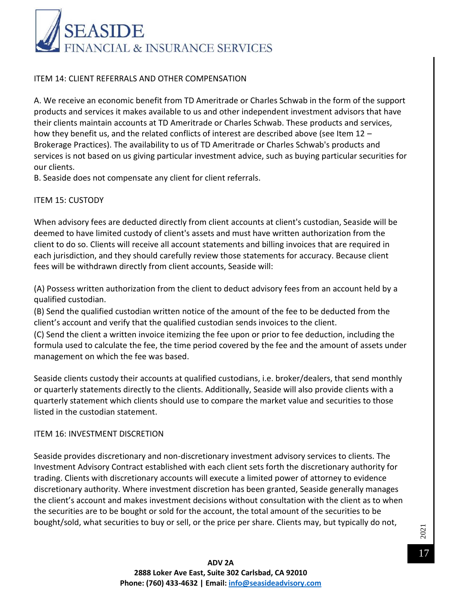

#### ITEM 14: CLIENT REFERRALS AND OTHER COMPENSATION

A. We receive an economic benefit from TD Ameritrade or Charles Schwab in the form of the support products and services it makes available to us and other independent investment advisors that have their clients maintain accounts at TD Ameritrade or Charles Schwab. These products and services, how they benefit us, and the related conflicts of interest are described above (see Item 12 -Brokerage Practices). The availability to us of TD Ameritrade or Charles Schwab's products and services is not based on us giving particular investment advice, such as buying particular securities for our clients.

B. Seaside does not compensate any client for client referrals.

#### ITEM 15: CUSTODY

When advisory fees are deducted directly from client accounts at client's custodian, Seaside will be deemed to have limited custody of client's assets and must have written authorization from the client to do so. Clients will receive all account statements and billing invoices that are required in each jurisdiction, and they should carefully review those statements for accuracy. Because client fees will be withdrawn directly from client accounts, Seaside will:

(A) Possess written authorization from the client to deduct advisory fees from an account held by a qualified custodian.

(B) Send the qualified custodian written notice of the amount of the fee to be deducted from the client's account and verify that the qualified custodian sends invoices to the client.

(C) Send the client a written invoice itemizing the fee upon or prior to fee deduction, including the formula used to calculate the fee, the time period covered by the fee and the amount of assets under management on which the fee was based.

Seaside clients custody their accounts at qualified custodians, i.e. broker/dealers, that send monthly or quarterly statements directly to the clients. Additionally, Seaside will also provide clients with a quarterly statement which clients should use to compare the market value and securities to those listed in the custodian statement.

#### ITEM 16: INVESTMENT DISCRETION

Seaside provides discretionary and non-discretionary investment advisory services to clients. The Investment Advisory Contract established with each client sets forth the discretionary authority for trading. Clients with discretionary accounts will execute a limited power of attorney to evidence discretionary authority. Where investment discretion has been granted, Seaside generally manages the client's account and makes investment decisions without consultation with the client as to when the securities are to be bought or sold for the account, the total amount of the securities to be bought/sold, what securities to buy or sell, or the price per share. Clients may, but typically do not,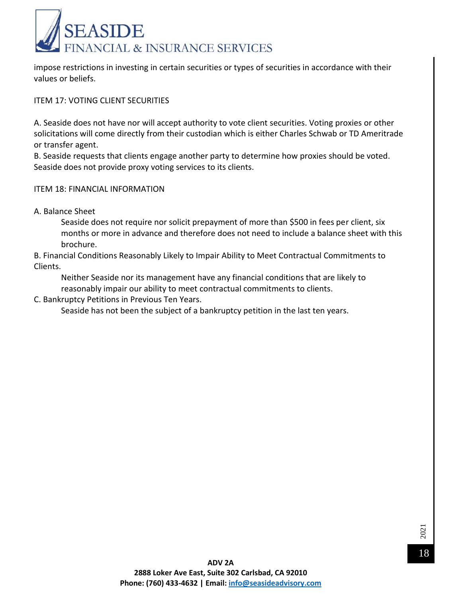

impose restrictions in investing in certain securities or types of securities in accordance with their values or beliefs.

ITEM 17: VOTING CLIENT SECURITIES

A. Seaside does not have nor will accept authority to vote client securities. Voting proxies or other solicitations will come directly from their custodian which is either Charles Schwab or TD Ameritrade or transfer agent.

B. Seaside requests that clients engage another party to determine how proxies should be voted. Seaside does not provide proxy voting services to its clients.

ITEM 18: FINANCIAL INFORMATION

A. Balance Sheet

Seaside does not require nor solicit prepayment of more than \$500 in fees per client, six months or more in advance and therefore does not need to include a balance sheet with this brochure.

B. Financial Conditions Reasonably Likely to Impair Ability to Meet Contractual Commitments to Clients.

Neither Seaside nor its management have any financial conditions that are likely to reasonably impair our ability to meet contractual commitments to clients.

C. Bankruptcy Petitions in Previous Ten Years.

Seaside has not been the subject of a bankruptcy petition in the last ten years.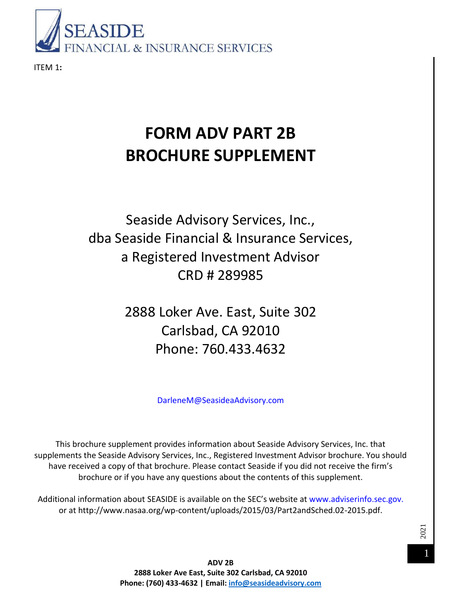

ITEM 1**:**

# **FORM ADV PART 2B BROCHURE SUPPLEMENT**

## Seaside Advisory Services, Inc., dba Seaside Financial & Insurance Services, a Registered Investment Advisor CRD # 289985

2888 Loker Ave. East, Suite 302 Carlsbad, CA 92010 Phone: 760.433.4632

DarleneM@SeasideaAdvisory.com

This brochure supplement provides information about Seaside Advisory Services, Inc. that supplements the Seaside Advisory Services, Inc., Registered Investment Advisor brochure. You should have received a copy of that brochure. Please contact Seaside if you did not receive the firm's brochure or if you have any questions about the contents of this supplement.

Additional information about SEASIDE is available on the SEC's website at www.adviserinfo.sec.gov. or at http://www.nasaa.org/wp-content/uploads/2015/03/Part2andSched.02-2015.pdf.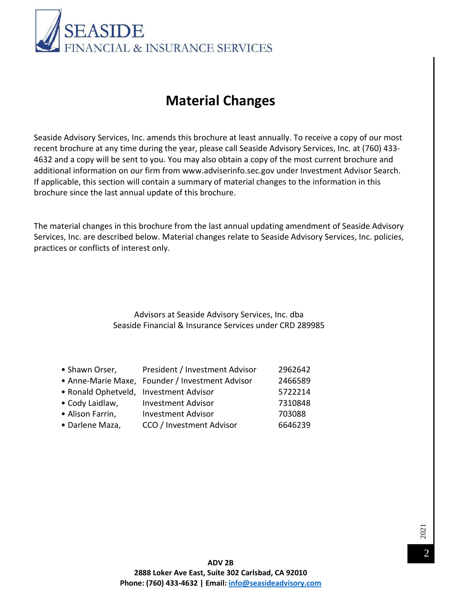

### **Material Changes**

Seaside Advisory Services, Inc. amends this brochure at least annually. To receive a copy of our most recent brochure at any time during the year, please call Seaside Advisory Services, Inc. at (760) 433- 4632 and a copy will be sent to you. You may also obtain a copy of the most current brochure and additional information on our firm from www.adviserinfo.sec.gov under Investment Advisor Search. If applicable, this section will contain a summary of material changes to the information in this brochure since the last annual update of this brochure.

The material changes in this brochure from the last annual updating amendment of Seaside Advisory Services, Inc. are described below. Material changes relate to Seaside Advisory Services, Inc. policies, practices or conflicts of interest only.

> Advisors at Seaside Advisory Services, Inc. dba Seaside Financial & Insurance Services under CRD 289985

| President / Investment Advisor | 2962642                                                                                   |
|--------------------------------|-------------------------------------------------------------------------------------------|
|                                | 2466589                                                                                   |
|                                | 5722214                                                                                   |
| <b>Investment Advisor</b>      | 7310848                                                                                   |
| <b>Investment Advisor</b>      | 703088                                                                                    |
| CCO / Investment Advisor       | 6646239                                                                                   |
|                                | • Anne-Marie Maxe, Founder / Investment Advisor<br>• Ronald Ophetveld, Investment Advisor |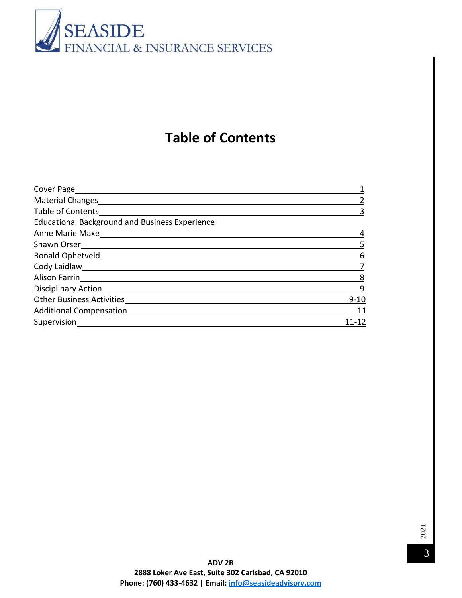

### **Table of Contents**

| <b>Material Changes</b>                               |          |
|-------------------------------------------------------|----------|
| Table of Contents                                     |          |
| <b>Educational Background and Business Experience</b> |          |
|                                                       |          |
| Shawn Orser                                           |          |
| Ronald Ophetveld                                      | 6        |
| Cody Laidlaw                                          |          |
| Alison Farrin                                         | 8        |
| Disciplinary Action                                   | 9        |
| <b>Other Business Activities</b>                      | $9 - 10$ |
| <b>Additional Compensation</b>                        | 11       |
| Supervision                                           |          |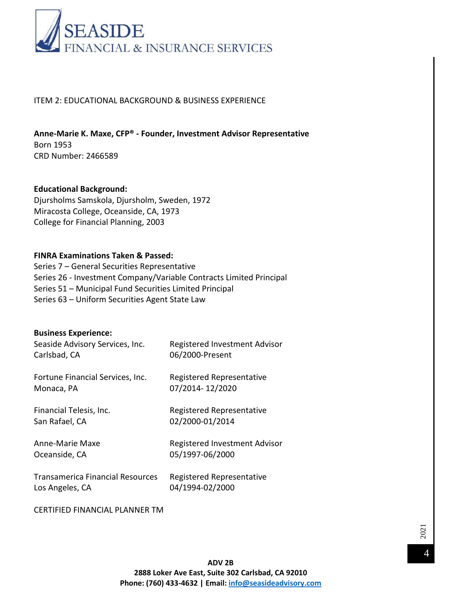

#### ITEM 2: EDUCATIONAL BACKGROUND & BUSINESS EXPERIENCE

**Anne-Marie K. Maxe, CFP® - Founder, Investment Advisor Representative**  Born 1953 CRD Number: 2466589

#### **Educational Background:**  Djursholms Samskola, Djursholm, Sweden, 1972 Miracosta College, Oceanside, CA, 1973

College for Financial Planning, 2003

#### **FINRA Examinations Taken & Passed:**

Series 7 – General Securities Representative Series 26 - Investment Company/Variable Contracts Limited Principal Series 51 – Municipal Fund Securities Limited Principal Series 63 – Uniform Securities Agent State Law

### **Business Experience:**  Seaside Advisory Services, Inc. Registered Investment Advisor Carlsbad, CA 06/2000-Present Fortune Financial Services, Inc. Registered Representative Monaca, PA 07/2014- 12/2020 Financial Telesis, Inc. The Registered Representative San Rafael, CA 02/2000-01/2014

Anne-Marie Maxe Registered Investment Advisor Oceanside, CA 05/1997-06/2000

Transamerica Financial Resources Registered Representative Los Angeles, CA 04/1994-02/2000

CERTIFIED FINANCIAL PLANNER TM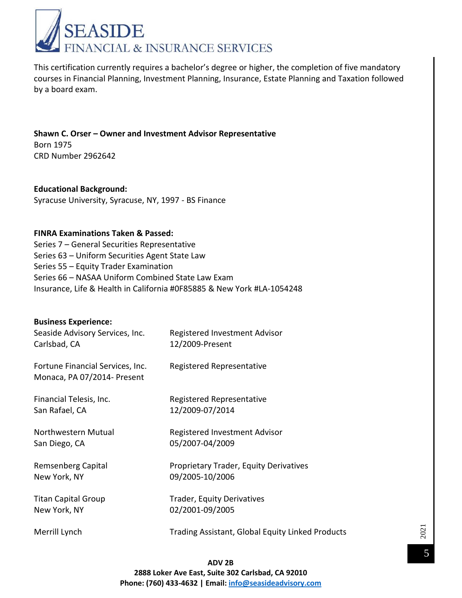

This certification currently requires a bachelor's degree or higher, the completion of five mandatory courses in Financial Planning, Investment Planning, Insurance, Estate Planning and Taxation followed by a board exam.

**Shawn C. Orser – Owner and Investment Advisor Representative**  Born 1975 CRD Number 2962642

**Educational Background:**  Syracuse University, Syracuse, NY, 1997 - BS Finance

#### **FINRA Examinations Taken & Passed:**

Series 7 – General Securities Representative Series 63 – Uniform Securities Agent State Law Series 55 – Equity Trader Examination Series 66 – NASAA Uniform Combined State Law Exam Insurance, Life & Health in California #0F85885 & New York #LA-1054248

| <b>Business Experience:</b>                                     |                                                         |
|-----------------------------------------------------------------|---------------------------------------------------------|
| Seaside Advisory Services, Inc.                                 | Registered Investment Advisor                           |
| Carlsbad, CA                                                    | 12/2009-Present                                         |
| Fortune Financial Services, Inc.<br>Monaca, PA 07/2014- Present | Registered Representative                               |
| Financial Telesis, Inc.                                         | Registered Representative                               |
| San Rafael, CA                                                  | 12/2009-07/2014                                         |
| Northwestern Mutual                                             | Registered Investment Advisor                           |
| San Diego, CA                                                   | 05/2007-04/2009                                         |
| Remsenberg Capital                                              | <b>Proprietary Trader, Equity Derivatives</b>           |
| New York, NY                                                    | 09/2005-10/2006                                         |
| <b>Titan Capital Group</b>                                      | Trader, Equity Derivatives                              |
| New York, NY                                                    | 02/2001-09/2005                                         |
| Merrill Lynch                                                   | <b>Trading Assistant, Global Equity Linked Products</b> |

**ADV 2B 2888 Loker Ave East, Suite 302 Carlsbad, CA 92010 Phone: (760) 433-4632 | Email: [info@seasideadvisory.com](mailto:info@seasideadvisory.com)**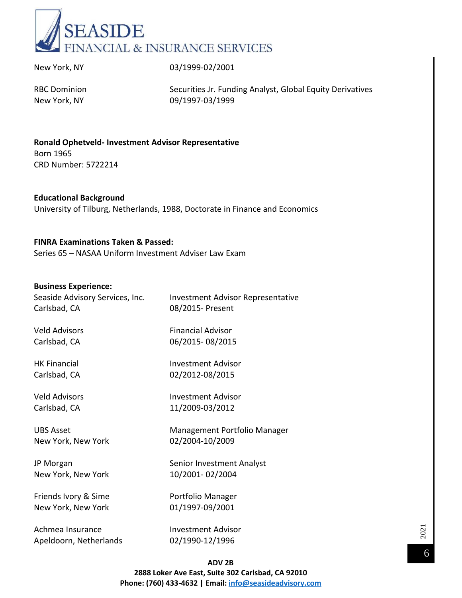

New York, NY 03/1999-02/2001

RBC Dominion Securities Jr. Funding Analyst, Global Equity Derivatives New York, NY 09/1997-03/1999

**Ronald Ophetveld- Investment Advisor Representative**  Born 1965 CRD Number: 5722214

**Educational Background**  University of Tilburg, Netherlands, 1988, Doctorate in Finance and Economics

#### **FINRA Examinations Taken & Passed:**

Series 65 – NASAA Uniform Investment Adviser Law Exam

#### **Business Experience:**

| Seaside Advisory Services, Inc.<br>Carlsbad, CA | <b>Investment Advisor Representative</b><br>08/2015- Present |
|-------------------------------------------------|--------------------------------------------------------------|
| <b>Veld Advisors</b>                            | <b>Financial Advisor</b>                                     |
| Carlsbad, CA                                    | 06/2015-08/2015                                              |
| <b>HK Financial</b>                             | <b>Investment Advisor</b>                                    |
| Carlsbad, CA                                    | 02/2012-08/2015                                              |
| <b>Veld Advisors</b>                            | Investment Advisor                                           |
| Carlsbad, CA                                    | 11/2009-03/2012                                              |
| <b>UBS Asset</b>                                | Management Portfolio Manager                                 |
| New York, New York                              | 02/2004-10/2009                                              |
| JP Morgan                                       | Senior Investment Analyst                                    |
| New York, New York                              | 10/2001-02/2004                                              |
| Friends Ivory & Sime                            | Portfolio Manager                                            |
| New York, New York                              | 01/1997-09/2001                                              |
| Achmea Insurance                                | <b>Investment Advisor</b>                                    |
| Apeldoorn, Netherlands                          | 02/1990-12/1996                                              |

**ADV 2B 2888 Loker Ave East, Suite 302 Carlsbad, CA 92010 Phone: (760) 433-4632 | Email: [info@seasideadvisory.com](mailto:info@seasideadvisory.com)**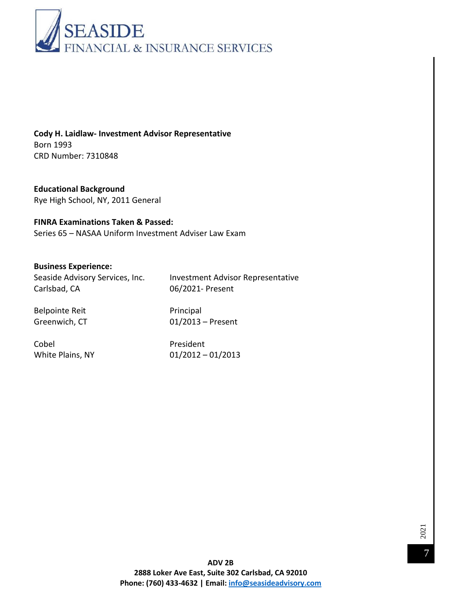

**Cody H. Laidlaw- Investment Advisor Representative**  Born 1993 CRD Number: 7310848

**Educational Background**  Rye High School, NY, 2011 General

#### **FINRA Examinations Taken & Passed:**

Series 65 – NASAA Uniform Investment Adviser Law Exam

#### **Business Experience:**

Carlsbad, CA 06/2021- Present

Seaside Advisory Services, Inc. Investment Advisor Representative

Belpointe Reit **Principal** 

Greenwich, CT 01/2013 – Present

Cobel President

White Plains, NY 01/2012 – 01/2013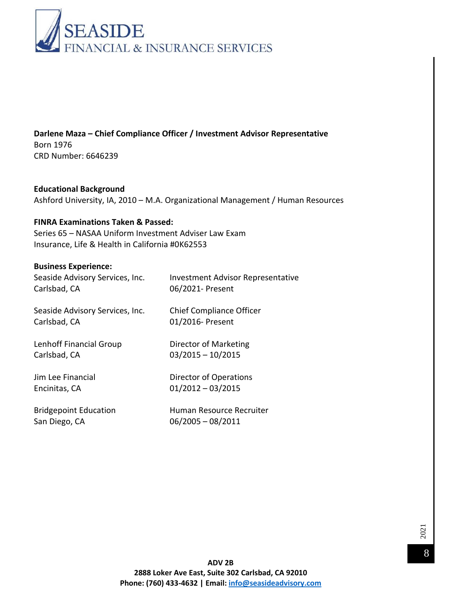

**Darlene Maza – Chief Compliance Officer / Investment Advisor Representative** Born 1976 CRD Number: 6646239

**Educational Background**  Ashford University, IA, 2010 – M.A. Organizational Management / Human Resources

#### **FINRA Examinations Taken & Passed:**

Series 65 – NASAA Uniform Investment Adviser Law Exam Insurance, Life & Health in California #0K62553

#### **Business Experience:**

| Seaside Advisory Services, Inc. | <b>Investment Advisor Representative</b> |
|---------------------------------|------------------------------------------|
| Carlsbad, CA                    | 06/2021- Present                         |
| Seaside Advisory Services, Inc. | <b>Chief Compliance Officer</b>          |
| Carlsbad, CA                    | 01/2016- Present                         |
| Lenhoff Financial Group         | Director of Marketing                    |
| Carlsbad, CA                    | $03/2015 - 10/2015$                      |
| Jim Lee Financial               | Director of Operations                   |
| Encinitas, CA                   | $01/2012 - 03/2015$                      |
| <b>Bridgepoint Education</b>    | Human Resource Recruiter                 |
| San Diego, CA                   | $06/2005 - 08/2011$                      |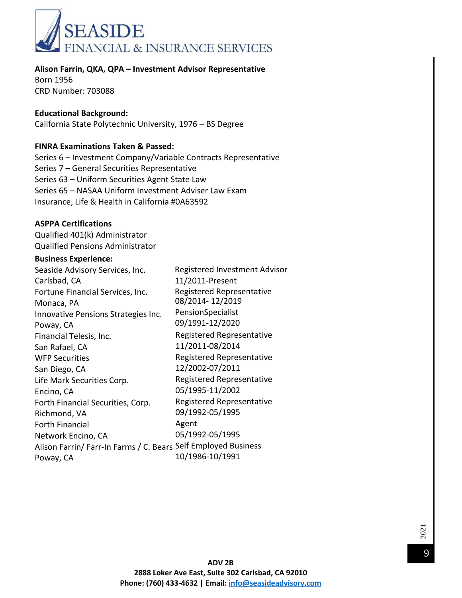

**Alison Farrin, QKA, QPA – Investment Advisor Representative**  Born 1956

CRD Number: 703088

#### **Educational Background:**

California State Polytechnic University, 1976 – BS Degree

#### **FINRA Examinations Taken & Passed:**

Series 6 – Investment Company/Variable Contracts Representative Series 7 – General Securities Representative Series 63 – Uniform Securities Agent State Law Series 65 – NASAA Uniform Investment Adviser Law Exam Insurance, Life & Health in California #0A63592

#### **ASPPA Certifications**

Qualified 401(k) Administrator Qualified Pensions Administrator

#### **Business Experience:**

Seaside Advisory Services, Inc. Registered Investment Advisor Carlsbad, CA 11/2011-Present Fortune Financial Services, Inc. Registered Representative Monaca, PA Innovative Pensions Strategies Inc. Poway, CA 08/2014- 12/2019 PensionSpecialist 09/1991-12/2020 Financial Telesis, Inc. San Rafael, CA WFP Securities San Diego, CA Life Mark Securities Corp. Encino, CA Forth Financial Securities, Corp. Richmond, VA Forth Financial Network Encino, CA Alison Farrin/ Farr-In Farms / C. Bears Self Employed Business Poway, CA Registered Representative 11/2011-08/2014 Registered Representative 12/2002-07/2011 Registered Representative 05/1995-11/2002 Registered Representative 09/1992-05/1995 Agent 05/1992-05/1995 10/1986-10/1991

> **ADV 2B 2888 Loker Ave East, Suite 302 Carlsbad, CA 92010 Phone: (760) 433-4632 | Email: [info@seasideadvisory.com](mailto:info@seasideadvisory.com)**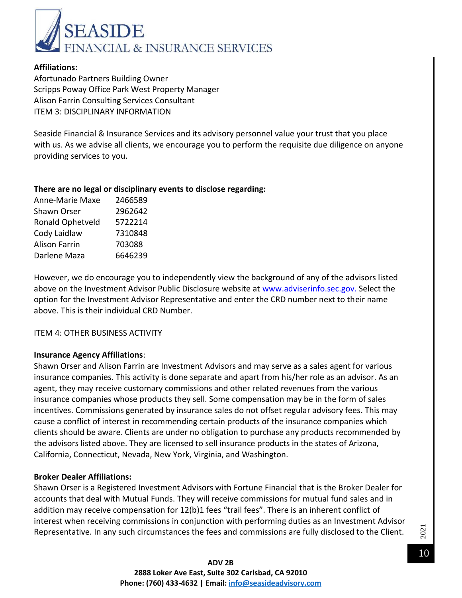

#### **Affiliations:**

Afortunado Partners Building Owner Scripps Poway Office Park West Property Manager Alison Farrin Consulting Services Consultant ITEM 3: DISCIPLINARY INFORMATION

Seaside Financial & Insurance Services and its advisory personnel value your trust that you place with us. As we advise all clients, we encourage you to perform the requisite due diligence on anyone providing services to you.

#### **There are no legal or disciplinary events to disclose regarding:**

| 2466589 |
|---------|
| 2962642 |
| 5722214 |
| 7310848 |
| 703088  |
| 6646239 |
|         |

However, we do encourage you to independently view the background of any of the advisors listed above on the Investment Advisor Public Disclosure website at www.adviserinfo.sec.gov. Select the option for the Investment Advisor Representative and enter the CRD number next to their name above. This is their individual CRD Number.

#### ITEM 4: OTHER BUSINESS ACTIVITY

#### **Insurance Agency Affiliations**:

Shawn Orser and Alison Farrin are Investment Advisors and may serve as a sales agent for various insurance companies. This activity is done separate and apart from his/her role as an advisor. As an agent, they may receive customary commissions and other related revenues from the various insurance companies whose products they sell. Some compensation may be in the form of sales incentives. Commissions generated by insurance sales do not offset regular advisory fees. This may cause a conflict of interest in recommending certain products of the insurance companies which clients should be aware. Clients are under no obligation to purchase any products recommended by the advisors listed above. They are licensed to sell insurance products in the states of Arizona, California, Connecticut, Nevada, New York, Virginia, and Washington.

#### **Broker Dealer Affiliations:**

Shawn Orser is a Registered Investment Advisors with Fortune Financial that is the Broker Dealer for accounts that deal with Mutual Funds. They will receive commissions for mutual fund sales and in addition may receive compensation for 12(b)1 fees "trail fees". There is an inherent conflict of interest when receiving commissions in conjunction with performing duties as an Investment Advisor Representative. In any such circumstances the fees and commissions are fully disclosed to the Client.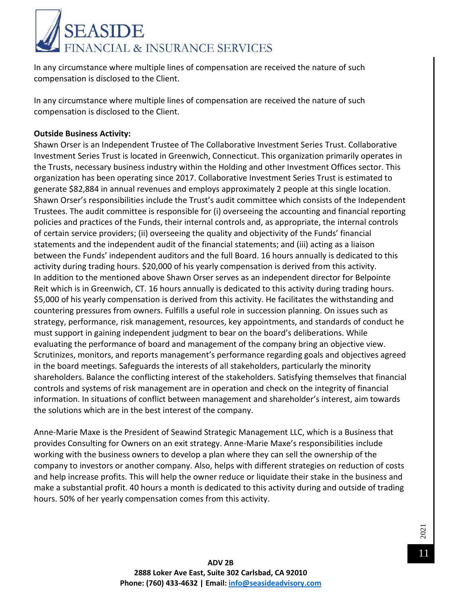

In any circumstance where multiple lines of compensation are received the nature of such compensation is disclosed to the Client.

In any circumstance where multiple lines of compensation are received the nature of such compensation is disclosed to the Client.

#### **Outside Business Activity:**

Shawn Orser is an Independent Trustee of The Collaborative Investment Series Trust. Collaborative Investment Series Trust is located in Greenwich, Connecticut. This organization primarily operates in the Trusts, necessary business industry within the Holding and other Investment Offices sector. This organization has been operating since 2017. Collaborative Investment Series Trust is estimated to generate \$82,884 in annual revenues and employs approximately 2 people at this single location. Shawn Orser's responsibilities include the Trust's audit committee which consists of the Independent Trustees. The audit committee is responsible for (i) overseeing the accounting and financial reporting policies and practices of the Funds, their internal controls and, as appropriate, the internal controls of certain service providers; (ii) overseeing the quality and objectivity of the Funds' financial statements and the independent audit of the financial statements; and (iii) acting as a liaison between the Funds' independent auditors and the full Board. 16 hours annually is dedicated to this activity during trading hours. \$20,000 of his yearly compensation is derived from this activity. In addition to the mentioned above Shawn Orser serves as an independent director for Belpointe Reit which is in Greenwich, CT. 16 hours annually is dedicated to this activity during trading hours. \$5,000 of his yearly compensation is derived from this activity. He facilitates the withstanding and countering pressures from owners. Fulfills a useful role in succession planning. On issues such as strategy, performance, risk management, resources, key appointments, and standards of conduct he must support in gaining independent judgment to bear on the board's deliberations. While evaluating the performance of board and management of the company bring an objective view. Scrutinizes, monitors, and reports management's performance regarding goals and objectives agreed in the board meetings. Safeguards the interests of all stakeholders, particularly the minority shareholders. Balance the conflicting interest of the stakeholders. Satisfying themselves that financial controls and systems of risk management are in operation and check on the integrity of financial information. In situations of conflict between management and shareholder's interest, aim towards the solutions which are in the best interest of the company.

Anne-Marie Maxe is the President of Seawind Strategic Management LLC, which is a Business that provides Consulting for Owners on an exit strategy. Anne-Marie Maxe's responsibilities include working with the business owners to develop a plan where they can sell the ownership of the company to investors or another company. Also, helps with different strategies on reduction of costs and help increase profits. This will help the owner reduce or liquidate their stake in the business and make a substantial profit. 40 hours a month is dedicated to this activity during and outside of trading hours. 50% of her yearly compensation comes from this activity.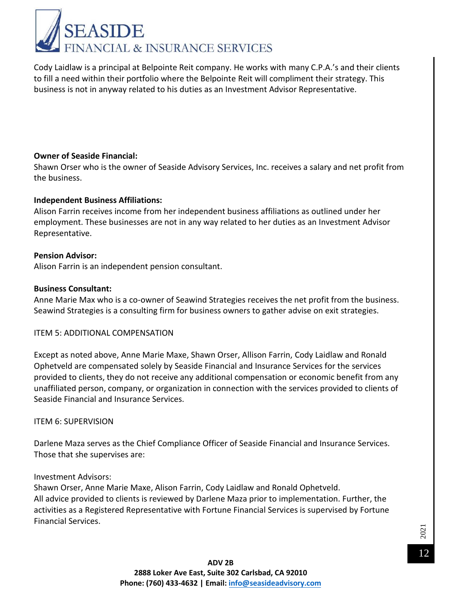

Cody Laidlaw is a principal at Belpointe Reit company. He works with many C.P.A.'s and their clients to fill a need within their portfolio where the Belpointe Reit will compliment their strategy. This business is not in anyway related to his duties as an Investment Advisor Representative.

#### **Owner of Seaside Financial:**

Shawn Orser who is the owner of Seaside Advisory Services, Inc. receives a salary and net profit from the business.

#### **Independent Business Affiliations:**

Alison Farrin receives income from her independent business affiliations as outlined under her employment. These businesses are not in any way related to her duties as an Investment Advisor Representative.

#### **Pension Advisor:**

Alison Farrin is an independent pension consultant.

#### **Business Consultant:**

Anne Marie Max who is a co-owner of Seawind Strategies receives the net profit from the business. Seawind Strategies is a consulting firm for business owners to gather advise on exit strategies.

#### ITEM 5: ADDITIONAL COMPENSATION

Except as noted above, Anne Marie Maxe, Shawn Orser, Allison Farrin, Cody Laidlaw and Ronald Ophetveld are compensated solely by Seaside Financial and Insurance Services for the services provided to clients, they do not receive any additional compensation or economic benefit from any unaffiliated person, company, or organization in connection with the services provided to clients of Seaside Financial and Insurance Services.

#### ITEM 6: SUPERVISION

Darlene Maza serves as the Chief Compliance Officer of Seaside Financial and Insurance Services. Those that she supervises are:

#### Investment Advisors:

Shawn Orser, Anne Marie Maxe, Alison Farrin, Cody Laidlaw and Ronald Ophetveld. All advice provided to clients is reviewed by Darlene Maza prior to implementation. Further, the activities as a Registered Representative with Fortune Financial Services is supervised by Fortune Financial Services.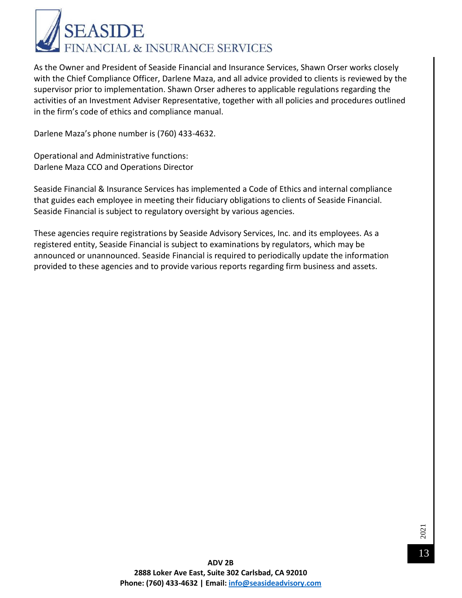

As the Owner and President of Seaside Financial and Insurance Services, Shawn Orser works closely with the Chief Compliance Officer, Darlene Maza, and all advice provided to clients is reviewed by the supervisor prior to implementation. Shawn Orser adheres to applicable regulations regarding the activities of an Investment Adviser Representative, together with all policies and procedures outlined in the firm's code of ethics and compliance manual.

Darlene Maza's phone number is (760) 433-4632.

Operational and Administrative functions: Darlene Maza CCO and Operations Director

Seaside Financial & Insurance Services has implemented a Code of Ethics and internal compliance that guides each employee in meeting their fiduciary obligations to clients of Seaside Financial. Seaside Financial is subject to regulatory oversight by various agencies.

These agencies require registrations by Seaside Advisory Services, Inc. and its employees. As a registered entity, Seaside Financial is subject to examinations by regulators, which may be announced or unannounced. Seaside Financial is required to periodically update the information provided to these agencies and to provide various reports regarding firm business and assets.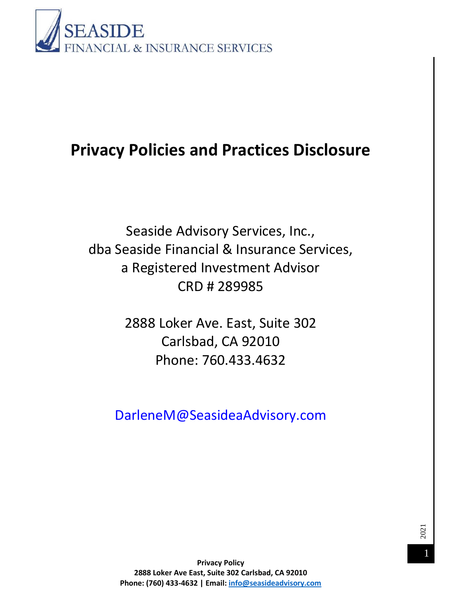

# **Privacy Policies and Practices Disclosure**

Seaside Advisory Services, Inc., dba Seaside Financial & Insurance Services, a Registered Investment Advisor CRD # 289985

> 2888 Loker Ave. East, Suite 302 Carlsbad, CA 92010 Phone: 760.433.4632

DarleneM@SeasideaAdvisory.com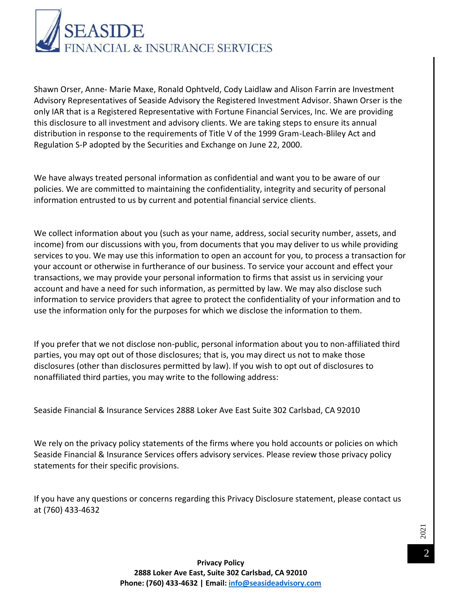

Shawn Orser, Anne- Marie Maxe, Ronald Ophtveld, Cody Laidlaw and Alison Farrin are Investment Advisory Representatives of Seaside Advisory the Registered Investment Advisor. Shawn Orser is the only IAR that is a Registered Representative with Fortune Financial Services, Inc. We are providing this disclosure to all investment and advisory clients. We are taking steps to ensure its annual distribution in response to the requirements of Title V of the 1999 Gram-Leach-Bliley Act and Regulation S-P adopted by the Securities and Exchange on June 22, 2000.

We have always treated personal information as confidential and want you to be aware of our policies. We are committed to maintaining the confidentiality, integrity and security of personal information entrusted to us by current and potential financial service clients.

We collect information about you (such as your name, address, social security number, assets, and income) from our discussions with you, from documents that you may deliver to us while providing services to you. We may use this information to open an account for you, to process a transaction for your account or otherwise in furtherance of our business. To service your account and effect your transactions, we may provide your personal information to firms that assist us in servicing your account and have a need for such information, as permitted by law. We may also disclose such information to service providers that agree to protect the confidentiality of your information and to use the information only for the purposes for which we disclose the information to them.

If you prefer that we not disclose non-public, personal information about you to non-affiliated third parties, you may opt out of those disclosures; that is, you may direct us not to make those disclosures (other than disclosures permitted by law). If you wish to opt out of disclosures to nonaffiliated third parties, you may write to the following address:

Seaside Financial & Insurance Services 2888 Loker Ave East Suite 302 Carlsbad, CA 92010

We rely on the privacy policy statements of the firms where you hold accounts or policies on which Seaside Financial & Insurance Services offers advisory services. Please review those privacy policy statements for their specific provisions.

If you have any questions or concerns regarding this Privacy Disclosure statement, please contact us at (760) 433-4632